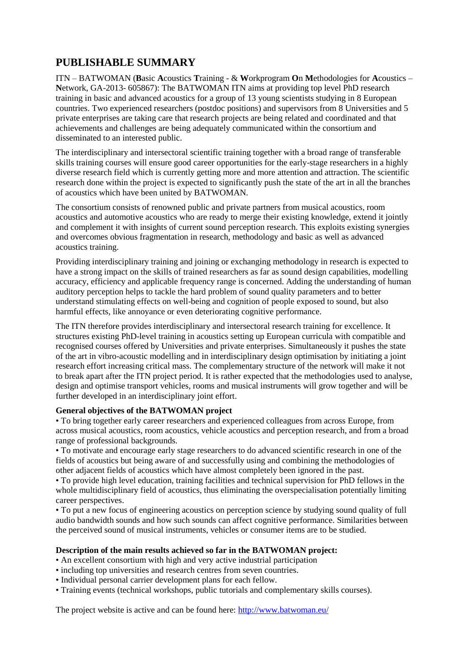## **PUBLISHABLE SUMMARY**

ITN – BATWOMAN (**B**asic **A**coustics **T**raining - & **W**orkprogram **O**n **M**ethodologies for **A**coustics – **N**etwork, GA-2013- 605867): The BATWOMAN ITN aims at providing top level PhD research training in basic and advanced acoustics for a group of 13 young scientists studying in 8 European countries. Two experienced researchers (postdoc positions) and supervisors from 8 Universities and 5 private enterprises are taking care that research projects are being related and coordinated and that achievements and challenges are being adequately communicated within the consortium and disseminated to an interested public.

The interdisciplinary and intersectoral scientific training together with a broad range of transferable skills training courses will ensure good career opportunities for the early-stage researchers in a highly diverse research field which is currently getting more and more attention and attraction. The scientific research done within the project is expected to significantly push the state of the art in all the branches of acoustics which have been united by BATWOMAN.

The consortium consists of renowned public and private partners from musical acoustics, room acoustics and automotive acoustics who are ready to merge their existing knowledge, extend it jointly and complement it with insights of current sound perception research. This exploits existing synergies and overcomes obvious fragmentation in research, methodology and basic as well as advanced acoustics training.

Providing interdisciplinary training and joining or exchanging methodology in research is expected to have a strong impact on the skills of trained researchers as far as sound design capabilities, modelling accuracy, efficiency and applicable frequency range is concerned. Adding the understanding of human auditory perception helps to tackle the hard problem of sound quality parameters and to better understand stimulating effects on well-being and cognition of people exposed to sound, but also harmful effects, like annoyance or even deteriorating cognitive performance.

The ITN therefore provides interdisciplinary and intersectoral research training for excellence. It structures existing PhD-level training in acoustics setting up European curricula with compatible and recognised courses offered by Universities and private enterprises. Simultaneously it pushes the state of the art in vibro-acoustic modelling and in interdisciplinary design optimisation by initiating a joint research effort increasing critical mass. The complementary structure of the network will make it not to break apart after the ITN project period. It is rather expected that the methodologies used to analyse, design and optimise transport vehicles, rooms and musical instruments will grow together and will be further developed in an interdisciplinary joint effort.

## **General objectives of the BATWOMAN project**

• To bring together early career researchers and experienced colleagues from across Europe, from across musical acoustics, room acoustics, vehicle acoustics and perception research, and from a broad range of professional backgrounds.

• To motivate and encourage early stage researchers to do advanced scientific research in one of the fields of acoustics but being aware of and successfully using and combining the methodologies of other adjacent fields of acoustics which have almost completely been ignored in the past.

• To provide high level education, training facilities and technical supervision for PhD fellows in the whole multidisciplinary field of acoustics, thus eliminating the overspecialisation potentially limiting career perspectives.

• To put a new focus of engineering acoustics on perception science by studying sound quality of full audio bandwidth sounds and how such sounds can affect cognitive performance. Similarities between the perceived sound of musical instruments, vehicles or consumer items are to be studied.

## **Description of the main results achieved so far in the BATWOMAN project:**

- An excellent consortium with high and very active industrial participation
- including top universities and research centres from seven countries.
- Individual personal carrier development plans for each fellow.
- Training events (technical workshops, public tutorials and complementary skills courses).

The project website is active and can be found here:<http://www.batwoman.eu/>